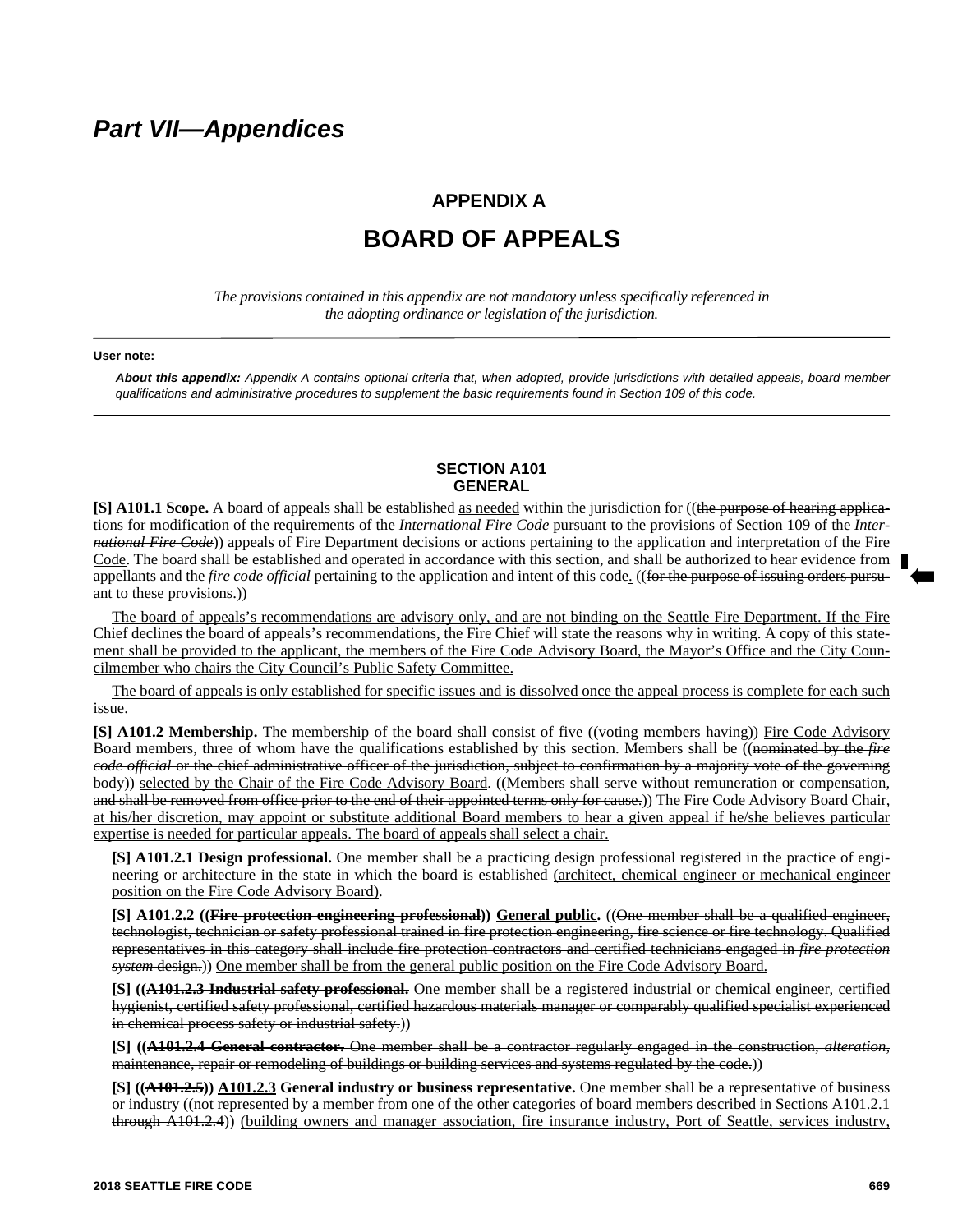## *Part VII—Appendices*

### **APPENDIX A**

# **BOARD OF APPEALS**

*The provisions contained in this appendix are not mandatory unless specifically referenced in the adopting ordinance or legislation of the jurisdiction.*

#### **User note:**

*About this appendix: Appendix A contains optional criteria that, when adopted, provide jurisdictions with detailed appeals, board member qualifications and administrative procedures to supplement the basic requirements found in Section 109 of this code.*

#### **SECTION A101 GENERAL**

**[S] A101.1 Scope.** A board of appeals shall be established as needed within the jurisdiction for ((the purpose of hearing applications for modification of the requirements of the *International Fire Code* pursuant to the provisions of Section 109 of the *International Fire Code*)) appeals of Fire Department decisions or actions pertaining to the application and interpretation of the Fire Code. The board shall be established and operated in accordance with this section, and shall be authorized to hear evidence from appellants and the *fire code official* pertaining to the application and intent of this code. ((for the purpose of issuing orders pursuant to these provisions.))

The board of appeals's recommendations are advisory only, and are not binding on the Seattle Fire Department. If the Fire Chief declines the board of appeals's recommendations, the Fire Chief will state the reasons why in writing. A copy of this statement shall be provided to the applicant, the members of the Fire Code Advisory Board, the Mayor's Office and the City Councilmember who chairs the City Council's Public Safety Committee.

The board of appeals is only established for specific issues and is dissolved once the appeal process is complete for each such issue.

**[S] A101.2 Membership.** The membership of the board shall consist of five ((voting members having)) Fire Code Advisory Board members, three of whom have the qualifications established by this section. Members shall be ((nominated by the *fire code official* or the chief administrative officer of the jurisdiction, subject to confirmation by a majority vote of the governing body)) selected by the Chair of the Fire Code Advisory Board. ((Members shall serve without remuneration or compensation, and shall be removed from office prior to the end of their appointed terms only for eause.)) The Fire Code Advisory Board Chair, at his/her discretion, may appoint or substitute additional Board members to hear a given appeal if he/she believes particular expertise is needed for particular appeals. The board of appeals shall select a chair.

**[S] A101.2.1 Design professional.** One member shall be a practicing design professional registered in the practice of engineering or architecture in the state in which the board is established (architect, chemical engineer or mechanical engineer position on the Fire Code Advisory Board).

**[S] A101.2.2 ((Fire protection engineering professional)) General public.** ((One member shall be a qualified engineer, technologist, technician or safety professional trained in fire protection engineering, fire science or fire technology. Qualified representatives in this category shall include fire protection contractors and certified technicians engaged in *fire protection system* design.)) One member shall be from the general public position on the Fire Code Advisory Board.

**[S] ((A101.2.3 Industrial safety professional.** One member shall be a registered industrial or chemical engineer, certified hygienist, certified safety professional, certified hazardous materials manager or comparably qualified specialist experienced in chemical process safety or industrial safety.))

**[S] ((A101.2.4 General contractor.** One member shall be a contractor regularly engaged in the construction, *alteration*, maintenance, repair or remodeling of buildings or building services and systems regulated by the code.))

**[S] ((A101.2.5)) A101.2.3 General industry or business representative.** One member shall be a representative of business or industry ((not represented by a member from one of the other categories of board members described in Sections A101.2.1 through A101.2.4)) (building owners and manager association, fire insurance industry, Port of Seattle, services industry,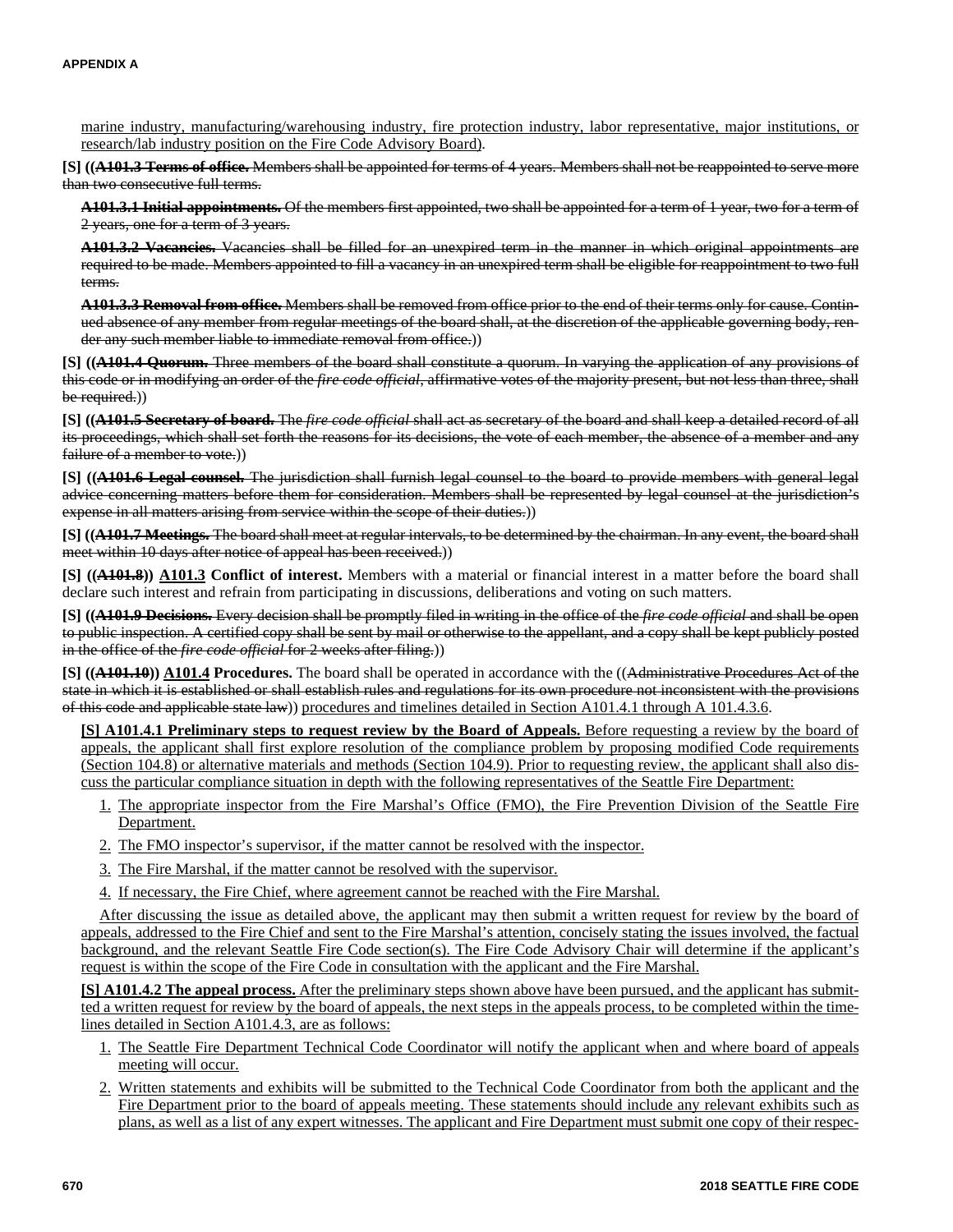marine industry, manufacturing/warehousing industry, fire protection industry, labor representative, major institutions, or research/lab industry position on the Fire Code Advisory Board).

**[S] ((A101.3 Terms of office.** Members shall be appointed for terms of 4 years. Members shall not be reappointed to serve more than two consecutive full terms.

**A101.3.1 Initial appointments.** Of the members first appointed, two shall be appointed for a term of 1 year, two for a term of 2 years, one for a term of 3 years.

**A101.3.2 Vacancies.** Vacancies shall be filled for an unexpired term in the manner in which original appointments are required to be made. Members appointed to fill a vacancy in an unexpired term shall be eligible for reappointment to two full terms.

**A101.3.3 Removal from office.** Members shall be removed from office prior to the end of their terms only for cause. Continued absence of any member from regular meetings of the board shall, at the discretion of the applicable governing body, render any such member liable to immediate removal from office.))

**[S] ((A101.4 Quorum.** Three members of the board shall constitute a quorum. In varying the application of any provisions of this code or in modifying an order of the *fire code official*, affirmative votes of the majority present, but not less than three, shall be required.)

**[S] ((A101.5 Secretary of board.** The *fire code official* shall act as secretary of the board and shall keep a detailed record of all its proceedings, which shall set forth the reasons for its decisions, the vote of each member, the absence of a member and any failure of a member to vote.)

**[S] ((A101.6 Legal counsel.** The jurisdiction shall furnish legal counsel to the board to provide members with general legal advice concerning matters before them for consideration. Members shall be represented by legal counsel at the jurisdiction's expense in all matters arising from service within the scope of their duties.))

**[S] ((A101.7 Meetings.** The board shall meet at regular intervals, to be determined by the chairman. In any event, the board shall meet within 10 days after notice of appeal has been received.))

**[S] ((A101.8)) A101.3 Conflict of interest.** Members with a material or financial interest in a matter before the board shall declare such interest and refrain from participating in discussions, deliberations and voting on such matters.

**[S] ((A101.9 Decisions.** Every decision shall be promptly filed in writing in the office of the *fire code official* and shall be open to public inspection. A certified copy shall be sent by mail or otherwise to the appellant, and a copy shall be kept publicly posted in the office of the *fire code official* for 2 weeks after filing.))

**[S] ((A101.10)) A101.4 Procedures.** The board shall be operated in accordance with the ((Administrative Procedures Act of the state in which it is established or shall establish rules and regulations for its own procedure not inconsistent with the provisions of this code and applicable state law)) procedures and timelines detailed in Section A101.4.1 through A 101.4.3.6.

**[S] A101.4.1 Preliminary steps to request review by the Board of Appeals.** Before requesting a review by the board of appeals, the applicant shall first explore resolution of the compliance problem by proposing modified Code requirements (Section 104.8) or alternative materials and methods (Section 104.9). Prior to requesting review, the applicant shall also discuss the particular compliance situation in depth with the following representatives of the Seattle Fire Department:

- 1. The appropriate inspector from the Fire Marshal's Office (FMO), the Fire Prevention Division of the Seattle Fire Department.
- 2. The FMO inspector's supervisor, if the matter cannot be resolved with the inspector.
- 3. The Fire Marshal, if the matter cannot be resolved with the supervisor.
- 4. If necessary, the Fire Chief, where agreement cannot be reached with the Fire Marshal.

After discussing the issue as detailed above, the applicant may then submit a written request for review by the board of appeals, addressed to the Fire Chief and sent to the Fire Marshal's attention, concisely stating the issues involved, the factual background, and the relevant Seattle Fire Code section(s). The Fire Code Advisory Chair will determine if the applicant's request is within the scope of the Fire Code in consultation with the applicant and the Fire Marshal.

**[S] A101.4.2 The appeal process.** After the preliminary steps shown above have been pursued, and the applicant has submitted a written request for review by the board of appeals, the next steps in the appeals process, to be completed within the timelines detailed in Section A101.4.3, are as follows:

- 1. The Seattle Fire Department Technical Code Coordinator will notify the applicant when and where board of appeals meeting will occur.
- 2. Written statements and exhibits will be submitted to the Technical Code Coordinator from both the applicant and the Fire Department prior to the board of appeals meeting. These statements should include any relevant exhibits such as plans, as well as a list of any expert witnesses. The applicant and Fire Department must submit one copy of their respec-